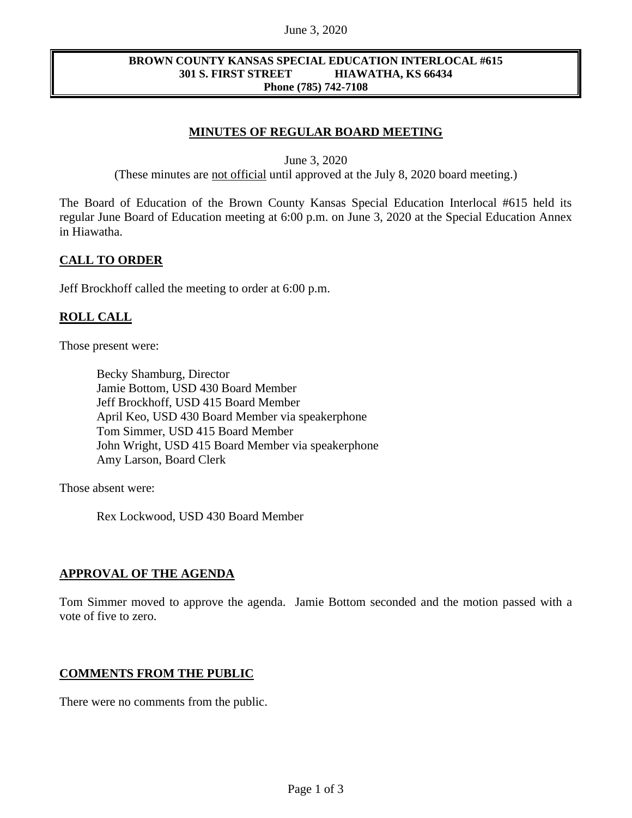#### June 3, 2020

#### **BROWN COUNTY KANSAS SPECIAL EDUCATION INTERLOCAL #615 301 S. FIRST STREET HIAWATHA, KS 66434 Phone (785) 742-7108**

## **MINUTES OF REGULAR BOARD MEETING**

June 3, 2020

(These minutes are not official until approved at the July 8, 2020 board meeting.)

The Board of Education of the Brown County Kansas Special Education Interlocal #615 held its regular June Board of Education meeting at 6:00 p.m. on June 3, 2020 at the Special Education Annex in Hiawatha.

### **CALL TO ORDER**

Jeff Brockhoff called the meeting to order at 6:00 p.m.

### **ROLL CALL**

Those present were:

Becky Shamburg, Director Jamie Bottom, USD 430 Board Member Jeff Brockhoff, USD 415 Board Member April Keo, USD 430 Board Member via speakerphone Tom Simmer, USD 415 Board Member John Wright, USD 415 Board Member via speakerphone Amy Larson, Board Clerk

Those absent were:

Rex Lockwood, USD 430 Board Member

### **APPROVAL OF THE AGENDA**

Tom Simmer moved to approve the agenda. Jamie Bottom seconded and the motion passed with a vote of five to zero.

### **COMMENTS FROM THE PUBLIC**

There were no comments from the public.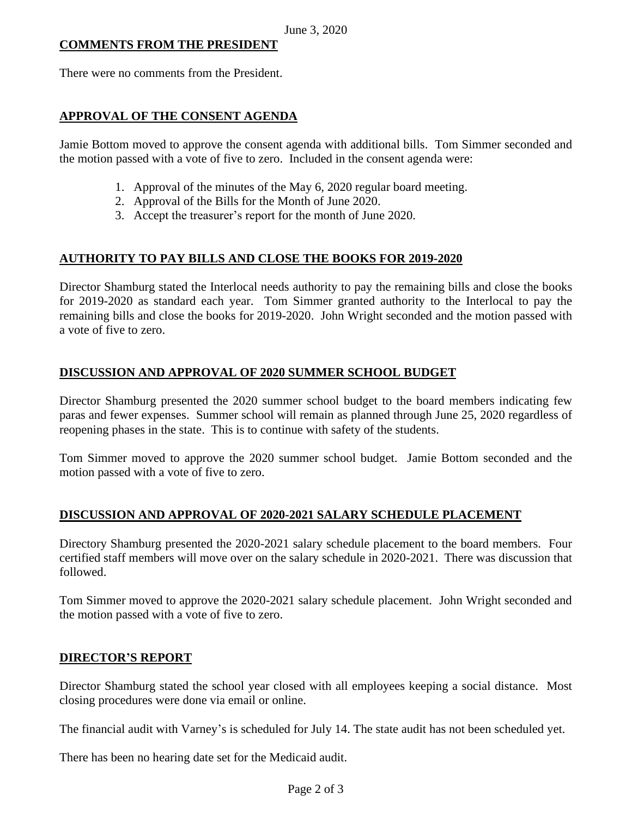## **COMMENTS FROM THE PRESIDENT**

There were no comments from the President.

## **APPROVAL OF THE CONSENT AGENDA**

Jamie Bottom moved to approve the consent agenda with additional bills. Tom Simmer seconded and the motion passed with a vote of five to zero. Included in the consent agenda were:

- 1. Approval of the minutes of the May 6, 2020 regular board meeting.
- 2. Approval of the Bills for the Month of June 2020.
- 3. Accept the treasurer's report for the month of June 2020.

# **AUTHORITY TO PAY BILLS AND CLOSE THE BOOKS FOR 2019-2020**

Director Shamburg stated the Interlocal needs authority to pay the remaining bills and close the books for 2019-2020 as standard each year. Tom Simmer granted authority to the Interlocal to pay the remaining bills and close the books for 2019-2020. John Wright seconded and the motion passed with a vote of five to zero.

# **DISCUSSION AND APPROVAL OF 2020 SUMMER SCHOOL BUDGET**

Director Shamburg presented the 2020 summer school budget to the board members indicating few paras and fewer expenses. Summer school will remain as planned through June 25, 2020 regardless of reopening phases in the state. This is to continue with safety of the students.

Tom Simmer moved to approve the 2020 summer school budget. Jamie Bottom seconded and the motion passed with a vote of five to zero.

## **DISCUSSION AND APPROVAL OF 2020-2021 SALARY SCHEDULE PLACEMENT**

Directory Shamburg presented the 2020-2021 salary schedule placement to the board members. Four certified staff members will move over on the salary schedule in 2020-2021. There was discussion that followed.

Tom Simmer moved to approve the 2020-2021 salary schedule placement. John Wright seconded and the motion passed with a vote of five to zero.

## **DIRECTOR'S REPORT**

Director Shamburg stated the school year closed with all employees keeping a social distance. Most closing procedures were done via email or online.

The financial audit with Varney's is scheduled for July 14. The state audit has not been scheduled yet.

There has been no hearing date set for the Medicaid audit.